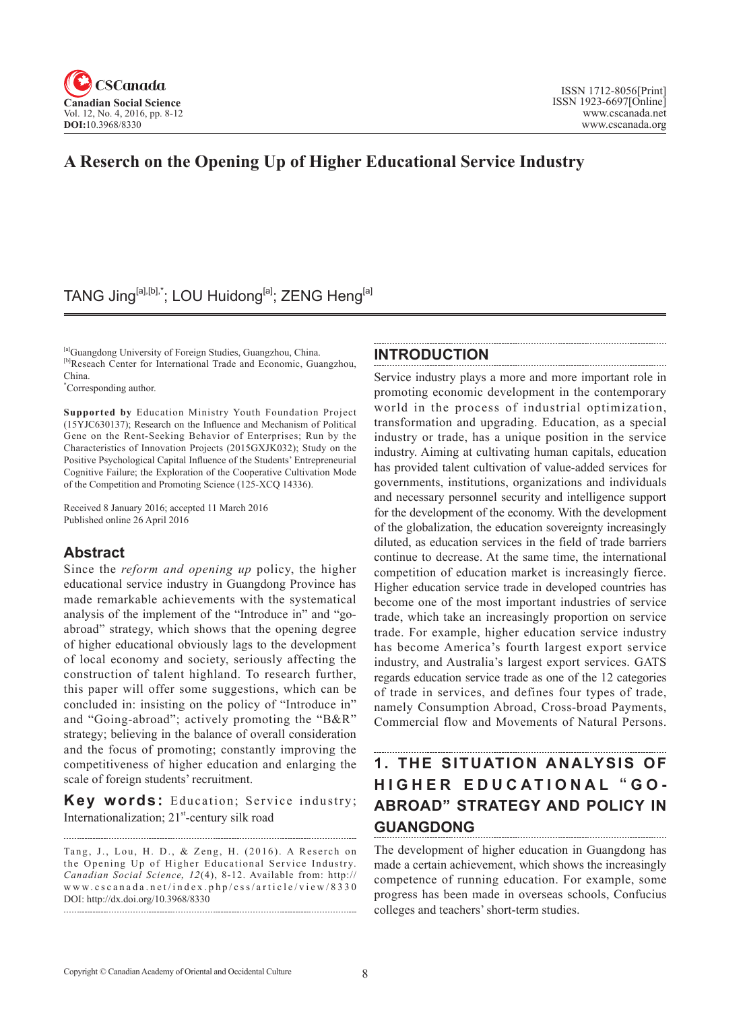

# **A Reserch on the Opening Up of Higher Educational Service Industry**

# TANG Jing<sup>[a],[b],\*</sup>; LOU Huidong<sup>[a]</sup>; ZENG Heng<sup>[a]</sup>

[a]Guangdong University of Foreign Studies, Guangzhou, China. [b]Reseach Center for International Trade and Economic, Guangzhou, **INTRODUCTION**

\* Corresponding author.

China.

**Supported by** Education Ministry Youth Foundation Project (15YJC630137); Research on the Influence and Mechanism of Political Gene on the Rent-Seeking Behavior of Enterprises; Run by the Characteristics of Innovation Projects (2015GXJK032); Study on the Positive Psychological Capital Influence of the Students' Entrepreneurial Cognitive Failure; the Exploration of the Cooperative Cultivation Mode of the Competition and Promoting Science (125-XCQ 14336).

Received 8 January 2016; accepted 11 March 2016 Published online 26 April 2016

### **Abstract**

Since the *reform and opening up* policy, the higher educational service industry in Guangdong Province has made remarkable achievements with the systematical analysis of the implement of the "Introduce in" and "goabroad" strategy, which shows that the opening degree of higher educational obviously lags to the development of local economy and society, seriously affecting the construction of talent highland. To research further, this paper will offer some suggestions, which can be concluded in: insisting on the policy of "Introduce in" and "Going-abroad"; actively promoting the "B&R" strategy; believing in the balance of overall consideration and the focus of promoting; constantly improving the competitiveness of higher education and enlarging the scale of foreign students' recruitment.

**Key words:** Education; Service industry; Internationalization;  $21<sup>st</sup>$ -century silk road

Tang, J., Lou, H. D., & Zeng, H. (2016). A Reserch on the Opening Up of Higher Educational Service Industry. *Canadian Social Science, 12(4), 8-12. Available from: http://* www.cscanada.net/index.php/css/article/view/8330 DOI: http://dx.doi.org/10.3968/8330

Service industry plays a more and more important role in promoting economic development in the contemporary world in the process of industrial optimization, transformation and upgrading. Education, as a special industry or trade, has a unique position in the service industry. Aiming at cultivating human capitals, education has provided talent cultivation of value-added services for governments, institutions, organizations and individuals and necessary personnel security and intelligence support for the development of the economy. With the development of the globalization, the education sovereignty increasingly diluted, as education services in the field of trade barriers continue to decrease. At the same time, the international competition of education market is increasingly fierce. Higher education service trade in developed countries has become one of the most important industries of service trade, which take an increasingly proportion on service trade. For example, higher education service industry has become America's fourth largest export service industry, and Australia's largest export services. GATS regards education service trade as one of the 12 categories of trade in services, and defines four types of trade, namely Consumption Abroad, Cross-broad Payments, Commercial flow and Movements of Natural Persons.

## **1. THE SITUATION ANALYSIS OF HIGHER EDUCATIONAL** " **GO-ABROAD" STRATEGY AND POLICY IN GUANGDONG**

The development of higher education in Guangdong has made a certain achievement, which shows the increasingly competence of running education. For example, some progress has been made in overseas schools, Confucius colleges and teachers' short-term studies.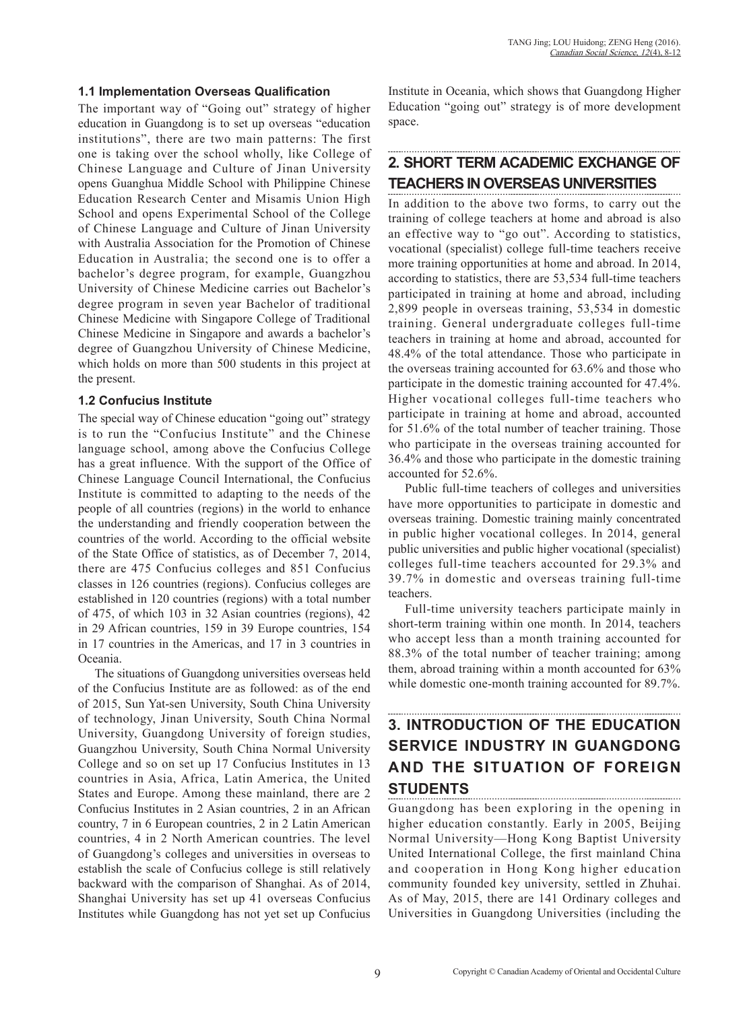#### **1.1 Implementation Overseas Qualification**

The important way of "Going out" strategy of higher education in Guangdong is to set up overseas "education institutions", there are two main patterns: The first one is taking over the school wholly, like College of Chinese Language and Culture of Jinan University opens Guanghua Middle School with Philippine Chinese Education Research Center and Misamis Union High School and opens Experimental School of the College of Chinese Language and Culture of Jinan University with Australia Association for the Promotion of Chinese Education in Australia; the second one is to offer a bachelor's degree program, for example, Guangzhou University of Chinese Medicine carries out Bachelor's degree program in seven year Bachelor of traditional Chinese Medicine with Singapore College of Traditional Chinese Medicine in Singapore and awards a bachelor's degree of Guangzhou University of Chinese Medicine, which holds on more than 500 students in this project at the present.

#### **1.2 Confucius Institute**

The special way of Chinese education "going out" strategy is to run the "Confucius Institute" and the Chinese language school, among above the Confucius College has a great influence. With the support of the Office of Chinese Language Council International, the Confucius Institute is committed to adapting to the needs of the people of all countries (regions) in the world to enhance the understanding and friendly cooperation between the countries of the world. According to the official website of the State Office of statistics, as of December 7, 2014, there are 475 Confucius colleges and 851 Confucius classes in 126 countries (regions). Confucius colleges are established in 120 countries (regions) with a total number of 475, of which 103 in 32 Asian countries (regions), 42 in 29 African countries, 159 in 39 Europe countries, 154 in 17 countries in the Americas, and 17 in 3 countries in Oceania.

The situations of Guangdong universities overseas held of the Confucius Institute are as followed: as of the end of 2015, Sun Yat-sen University, South China University of technology, Jinan University, South China Normal University, Guangdong University of foreign studies, Guangzhou University, South China Normal University College and so on set up 17 Confucius Institutes in 13 countries in Asia, Africa, Latin America, the United States and Europe. Among these mainland, there are 2 Confucius Institutes in 2 Asian countries, 2 in an African country, 7 in 6 European countries, 2 in 2 Latin American countries, 4 in 2 North American countries. The level of Guangdong's colleges and universities in overseas to establish the scale of Confucius college is still relatively backward with the comparison of Shanghai. As of 2014, Shanghai University has set up 41 overseas Confucius Institutes while Guangdong has not yet set up Confucius Institute in Oceania, which shows that Guangdong Higher Education "going out" strategy is of more development space.

# **2. SHORT TERM ACADEMIC EXCHANGE OF TEACHERS IN OVERSEAS UNIVERSITIES**

In addition to the above two forms, to carry out the training of college teachers at home and abroad is also an effective way to "go out". According to statistics, vocational (specialist) college full-time teachers receive more training opportunities at home and abroad. In 2014, according to statistics, there are 53,534 full-time teachers participated in training at home and abroad, including 2,899 people in overseas training, 53,534 in domestic training. General undergraduate colleges full-time teachers in training at home and abroad, accounted for 48.4% of the total attendance. Those who participate in the overseas training accounted for 63.6% and those who participate in the domestic training accounted for 47.4%. Higher vocational colleges full-time teachers who participate in training at home and abroad, accounted for 51.6% of the total number of teacher training. Those who participate in the overseas training accounted for 36.4% and those who participate in the domestic training accounted for 52.6%.

Public full-time teachers of colleges and universities have more opportunities to participate in domestic and overseas training. Domestic training mainly concentrated in public higher vocational colleges. In 2014, general public universities and public higher vocational (specialist) colleges full-time teachers accounted for 29.3% and 39.7% in domestic and overseas training full-time teachers.

Full-time university teachers participate mainly in short-term training within one month. In 2014, teachers who accept less than a month training accounted for 88.3% of the total number of teacher training; among them, abroad training within a month accounted for 63% while domestic one-month training accounted for 89.7%.

## **3. INTRODUCTION OF THE EDUCATION SERVICE INDUSTRY IN GUANGDONG AND THE SITUATION OF FOREIGN STUDENTS**

Guangdong has been exploring in the opening in higher education constantly. Early in 2005, Beijing Normal University—Hong Kong Baptist University United International College, the first mainland China and cooperation in Hong Kong higher education community founded key university, settled in Zhuhai. As of May, 2015, there are 141 Ordinary colleges and Universities in Guangdong Universities (including the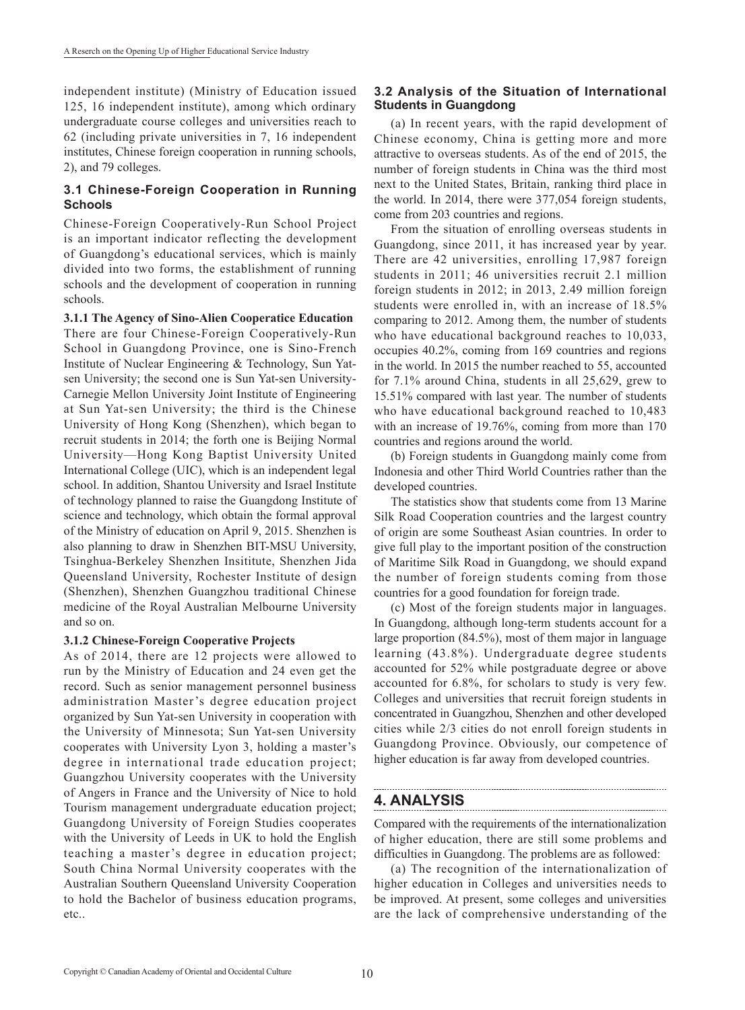independent institute) (Ministry of Education issued 125, 16 independent institute), among which ordinary undergraduate course colleges and universities reach to 62 (including private universities in 7, 16 independent institutes, Chinese foreign cooperation in running schools, 2), and 79 colleges.

### **3.1 Chinese-Foreign Cooperation in Running Schools**

Chinese-Foreign Cooperatively-Run School Project is an important indicator reflecting the development of Guangdong's educational services, which is mainly divided into two forms, the establishment of running schools and the development of cooperation in running schools.

**3.1.1 The Agency of Sino-Alien Cooperatice Education**  There are four Chinese-Foreign Cooperatively-Run School in Guangdong Province, one is Sino-French Institute of Nuclear Engineering & Technology, Sun Yatsen University; the second one is Sun Yat-sen University-Carnegie Mellon University Joint Institute of Engineering at Sun Yat-sen University; the third is the Chinese University of Hong Kong (Shenzhen), which began to recruit students in 2014; the forth one is Beijing Normal University—Hong Kong Baptist University United International College (UIC), which is an independent legal school. In addition, Shantou University and Israel Institute of technology planned to raise the Guangdong Institute of science and technology, which obtain the formal approval of the Ministry of education on April 9, 2015. Shenzhen is also planning to draw in Shenzhen BIT-MSU University, Tsinghua-Berkeley Shenzhen Insititute, Shenzhen Jida Queensland University, Rochester Institute of design (Shenzhen), Shenzhen Guangzhou traditional Chinese medicine of the Royal Australian Melbourne University and so on.

#### **3.1.2 Chinese-Foreign Cooperative Projects**

As of 2014, there are 12 projects were allowed to run by the Ministry of Education and 24 even get the record. Such as senior management personnel business administration Master's degree education project organized by Sun Yat-sen University in cooperation with the University of Minnesota; Sun Yat-sen University cooperates with University Lyon 3, holding a master's degree in international trade education project; Guangzhou University cooperates with the University of Angers in France and the University of Nice to hold Tourism management undergraduate education project; Guangdong University of Foreign Studies cooperates with the University of Leeds in UK to hold the English teaching a master's degree in education project; South China Normal University cooperates with the Australian Southern Queensland University Cooperation to hold the Bachelor of business education programs, etc..

### **3.2 Analysis of the Situation of International Students in Guangdong**

(a) In recent years, with the rapid development of Chinese economy, China is getting more and more attractive to overseas students. As of the end of 2015, the number of foreign students in China was the third most next to the United States, Britain, ranking third place in the world. In 2014, there were 377,054 foreign students, come from 203 countries and regions.

From the situation of enrolling overseas students in Guangdong, since 2011, it has increased year by year. There are 42 universities, enrolling 17,987 foreign students in 2011; 46 universities recruit 2.1 million foreign students in 2012; in 2013, 2.49 million foreign students were enrolled in, with an increase of 18.5% comparing to 2012. Among them, the number of students who have educational background reaches to 10,033, occupies 40.2%, coming from 169 countries and regions in the world. In 2015 the number reached to 55, accounted for 7.1% around China, students in all 25,629, grew to 15.51% compared with last year. The number of students who have educational background reached to 10,483 with an increase of 19.76%, coming from more than 170 countries and regions around the world.

(b) Foreign students in Guangdong mainly come from Indonesia and other Third World Countries rather than the developed countries.

The statistics show that students come from 13 Marine Silk Road Cooperation countries and the largest country of origin are some Southeast Asian countries. In order to give full play to the important position of the construction of Maritime Silk Road in Guangdong, we should expand the number of foreign students coming from those countries for a good foundation for foreign trade.

(c) Most of the foreign students major in languages. In Guangdong, although long-term students account for a large proportion (84.5%), most of them major in language learning (43.8%). Undergraduate degree students accounted for 52% while postgraduate degree or above accounted for 6.8%, for scholars to study is very few. Colleges and universities that recruit foreign students in concentrated in Guangzhou, Shenzhen and other developed cities while 2/3 cities do not enroll foreign students in Guangdong Province. Obviously, our competence of higher education is far away from developed countries.

# **4. ANALYSIS**

Compared with the requirements of the internationalization of higher education, there are still some problems and difficulties in Guangdong. The problems are as followed:

(a) The recognition of the internationalization of higher education in Colleges and universities needs to be improved. At present, some colleges and universities are the lack of comprehensive understanding of the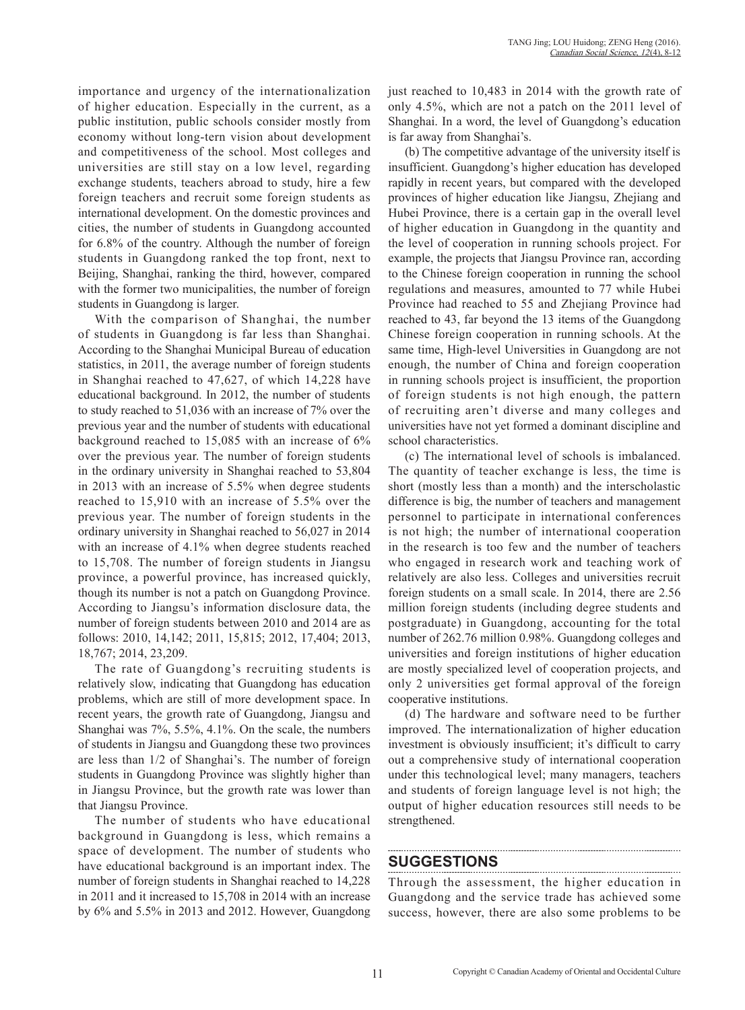importance and urgency of the internationalization of higher education. Especially in the current, as a public institution, public schools consider mostly from economy without long-tern vision about development and competitiveness of the school. Most colleges and universities are still stay on a low level, regarding exchange students, teachers abroad to study, hire a few foreign teachers and recruit some foreign students as international development. On the domestic provinces and cities, the number of students in Guangdong accounted for 6.8% of the country. Although the number of foreign students in Guangdong ranked the top front, next to Beijing, Shanghai, ranking the third, however, compared with the former two municipalities, the number of foreign students in Guangdong is larger.

With the comparison of Shanghai, the number of students in Guangdong is far less than Shanghai. According to the Shanghai Municipal Bureau of education statistics, in 2011, the average number of foreign students in Shanghai reached to 47,627, of which 14,228 have educational background. In 2012, the number of students to study reached to 51,036 with an increase of 7% over the previous year and the number of students with educational background reached to 15,085 with an increase of 6% over the previous year. The number of foreign students in the ordinary university in Shanghai reached to 53,804 in 2013 with an increase of 5.5% when degree students reached to 15,910 with an increase of 5.5% over the previous year. The number of foreign students in the ordinary university in Shanghai reached to 56,027 in 2014 with an increase of 4.1% when degree students reached to 15,708. The number of foreign students in Jiangsu province, a powerful province, has increased quickly, though its number is not a patch on Guangdong Province. According to Jiangsu's information disclosure data, the number of foreign students between 2010 and 2014 are as follows: 2010, 14,142; 2011, 15,815; 2012, 17,404; 2013, 18,767; 2014, 23,209.

The rate of Guangdong's recruiting students is relatively slow, indicating that Guangdong has education problems, which are still of more development space. In recent years, the growth rate of Guangdong, Jiangsu and Shanghai was 7%, 5.5%, 4.1%. On the scale, the numbers of students in Jiangsu and Guangdong these two provinces are less than 1/2 of Shanghai's. The number of foreign students in Guangdong Province was slightly higher than in Jiangsu Province, but the growth rate was lower than that Jiangsu Province.

The number of students who have educational background in Guangdong is less, which remains a space of development. The number of students who have educational background is an important index. The number of foreign students in Shanghai reached to 14,228 in 2011 and it increased to 15,708 in 2014 with an increase by 6% and 5.5% in 2013 and 2012. However, Guangdong just reached to 10,483 in 2014 with the growth rate of only 4.5%, which are not a patch on the 2011 level of Shanghai. In a word, the level of Guangdong's education is far away from Shanghai's.

(b) The competitive advantage of the university itself is insufficient. Guangdong's higher education has developed rapidly in recent years, but compared with the developed provinces of higher education like Jiangsu, Zhejiang and Hubei Province, there is a certain gap in the overall level of higher education in Guangdong in the quantity and the level of cooperation in running schools project. For example, the projects that Jiangsu Province ran, according to the Chinese foreign cooperation in running the school regulations and measures, amounted to 77 while Hubei Province had reached to 55 and Zhejiang Province had reached to 43, far beyond the 13 items of the Guangdong Chinese foreign cooperation in running schools. At the same time, High-level Universities in Guangdong are not enough, the number of China and foreign cooperation in running schools project is insufficient, the proportion of foreign students is not high enough, the pattern of recruiting aren't diverse and many colleges and universities have not yet formed a dominant discipline and school characteristics.

(c) The international level of schools is imbalanced. The quantity of teacher exchange is less, the time is short (mostly less than a month) and the interscholastic difference is big, the number of teachers and management personnel to participate in international conferences is not high; the number of international cooperation in the research is too few and the number of teachers who engaged in research work and teaching work of relatively are also less. Colleges and universities recruit foreign students on a small scale. In 2014, there are 2.56 million foreign students (including degree students and postgraduate) in Guangdong, accounting for the total number of 262.76 million 0.98%. Guangdong colleges and universities and foreign institutions of higher education are mostly specialized level of cooperation projects, and only 2 universities get formal approval of the foreign cooperative institutions.

(d) The hardware and software need to be further improved. The internationalization of higher education investment is obviously insufficient; it's difficult to carry out a comprehensive study of international cooperation under this technological level; many managers, teachers and students of foreign language level is not high; the output of higher education resources still needs to be strengthened.

## **SUGGESTIONS**

Through the assessment, the higher education in Guangdong and the service trade has achieved some success, however, there are also some problems to be